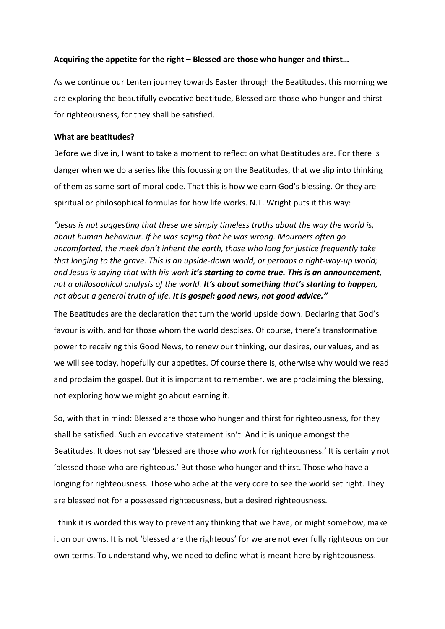# **Acquiring the appetite for the right – Blessed are those who hunger and thirst…**

As we continue our Lenten journey towards Easter through the Beatitudes, this morning we are exploring the beautifully evocative beatitude, Blessed are those who hunger and thirst for righteousness, for they shall be satisfied.

# **What are beatitudes?**

Before we dive in, I want to take a moment to reflect on what Beatitudes are. For there is danger when we do a series like this focussing on the Beatitudes, that we slip into thinking of them as some sort of moral code. That this is how we earn God's blessing. Or they are spiritual or philosophical formulas for how life works. N.T. Wright puts it this way:

*"Jesus is not suggesting that these are simply timeless truths about the way the world is, about human behaviour. If he was saying that he was wrong. Mourners often go uncomforted, the meek don't inherit the earth, those who long for justice frequently take that longing to the grave. This is an upside-down world, or perhaps a right-way-up world; and Jesus is saying that with his work it's starting to come true. This is an announcement, not a philosophical analysis of the world. It's about something that's starting to happen, not about a general truth of life. It is gospel: good news, not good advice."*

The Beatitudes are the declaration that turn the world upside down. Declaring that God's favour is with, and for those whom the world despises. Of course, there's transformative power to receiving this Good News, to renew our thinking, our desires, our values, and as we will see today, hopefully our appetites. Of course there is, otherwise why would we read and proclaim the gospel. But it is important to remember, we are proclaiming the blessing, not exploring how we might go about earning it.

So, with that in mind: Blessed are those who hunger and thirst for righteousness, for they shall be satisfied. Such an evocative statement isn't. And it is unique amongst the Beatitudes. It does not say 'blessed are those who work for righteousness.' It is certainly not 'blessed those who are righteous.' But those who hunger and thirst. Those who have a longing for righteousness. Those who ache at the very core to see the world set right. They are blessed not for a possessed righteousness, but a desired righteousness.

I think it is worded this way to prevent any thinking that we have, or might somehow, make it on our owns. It is not 'blessed are the righteous' for we are not ever fully righteous on our own terms. To understand why, we need to define what is meant here by righteousness.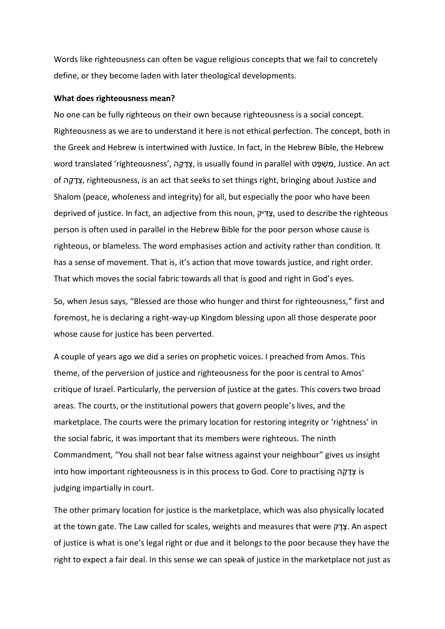Words like righteousness can often be vague religious concepts that we fail to concretely define, or they become laden with later theological developments.

### **What does righteousness mean?**

No one can be fully righteous on their own because righteousness is a social concept. Righteousness as we are to understand it here is not ethical perfection. The concept, both in the Greek and Hebrew is intertwined with Justice. In fact, in the Hebrew Bible, the Hebrew word translated 'righteousness', ה ָק ָד ְצ, is usually found in parallel with ט ָפּ ְשׁ ִמ, Justice. An act of ה ָק ָד ְצ, righteousness, is an act that seeks to set things right, bringing about Justice and Shalom (peace, wholeness and integrity) for all, but especially the poor who have been deprived of justice. In fact, an adjective from this noun, צַדִּיק, used to describe the righteous person is often used in parallel in the Hebrew Bible for the poor person whose cause is righteous, or blameless. The word emphasises action and activity rather than condition. It has a sense of movement. That is, it's action that move towards justice, and right order. That which moves the social fabric towards all that is good and right in God's eyes.

So, when Jesus says, "Blessed are those who hunger and thirst for righteousness," first and foremost, he is declaring a right-way-up Kingdom blessing upon all those desperate poor whose cause for justice has been perverted.

A couple of years ago we did a series on prophetic voices. I preached from Amos. This theme, of the perversion of justice and righteousness for the poor is central to Amos' critique of Israel. Particularly, the perversion of justice at the gates. This covers two broad areas. The courts, or the institutional powers that govern people's lives, and the marketplace. The courts were the primary location for restoring integrity or 'rightness' in the social fabric, it was important that its members were righteous. The ninth Commandment, "You shall not bear false witness against your neighbour" gives us insight into how important righteousness is in this process to God. Core to practising ה ָק ָד ְצ is judging impartially in court.

The other primary location for justice is the marketplace, which was also physically located at the town gate. The Law called for scales, weights and measures that were עֲדֵק. An aspect of justice is what is one's legal right or due and it belongs to the poor because they have the right to expect a fair deal. In this sense we can speak of justice in the marketplace not just as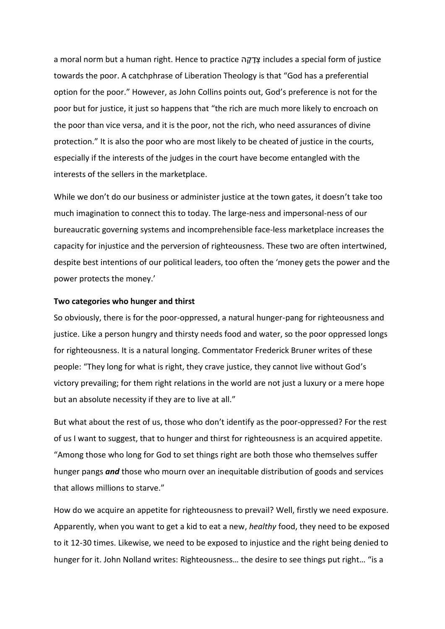a moral norm but a human right. Hence to practice ה ָק ָד ְצ includes a special form of justice towards the poor. A catchphrase of Liberation Theology is that "God has a preferential option for the poor." However, as John Collins points out, God's preference is not for the poor but for justice, it just so happens that "the rich are much more likely to encroach on the poor than vice versa, and it is the poor, not the rich, who need assurances of divine protection." It is also the poor who are most likely to be cheated of justice in the courts, especially if the interests of the judges in the court have become entangled with the interests of the sellers in the marketplace.

While we don't do our business or administer justice at the town gates, it doesn't take too much imagination to connect this to today. The large-ness and impersonal-ness of our bureaucratic governing systems and incomprehensible face-less marketplace increases the capacity for injustice and the perversion of righteousness. These two are often intertwined, despite best intentions of our political leaders, too often the 'money gets the power and the power protects the money.'

#### **Two categories who hunger and thirst**

So obviously, there is for the poor-oppressed, a natural hunger-pang for righteousness and justice. Like a person hungry and thirsty needs food and water, so the poor oppressed longs for righteousness. It is a natural longing. Commentator Frederick Bruner writes of these people: "They long for what is right, they crave justice, they cannot live without God's victory prevailing; for them right relations in the world are not just a luxury or a mere hope but an absolute necessity if they are to live at all."

But what about the rest of us, those who don't identify as the poor-oppressed? For the rest of us I want to suggest, that to hunger and thirst for righteousness is an acquired appetite. "Among those who long for God to set things right are both those who themselves suffer hunger pangs *and* those who mourn over an inequitable distribution of goods and services that allows millions to starve."

How do we acquire an appetite for righteousness to prevail? Well, firstly we need exposure. Apparently, when you want to get a kid to eat a new, *healthy* food, they need to be exposed to it 12-30 times. Likewise, we need to be exposed to injustice and the right being denied to hunger for it. John Nolland writes: Righteousness... the desire to see things put right... "is a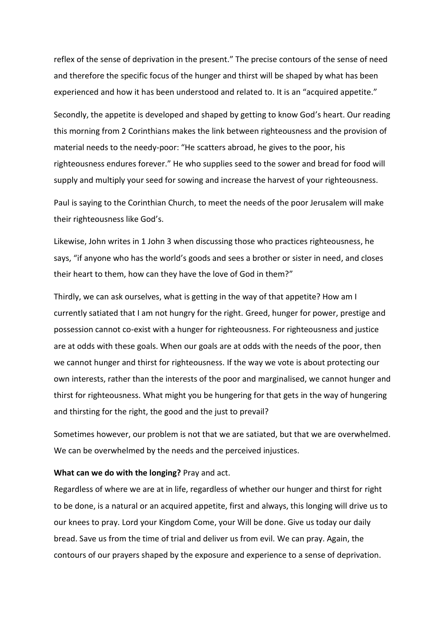reflex of the sense of deprivation in the present." The precise contours of the sense of need and therefore the specific focus of the hunger and thirst will be shaped by what has been experienced and how it has been understood and related to. It is an "acquired appetite."

Secondly, the appetite is developed and shaped by getting to know God's heart. Our reading this morning from 2 Corinthians makes the link between righteousness and the provision of material needs to the needy-poor: "He scatters abroad, he gives to the poor, his righteousness endures forever." He who supplies seed to the sower and bread for food will supply and multiply your seed for sowing and increase the harvest of your righteousness.

Paul is saying to the Corinthian Church, to meet the needs of the poor Jerusalem will make their righteousness like God's.

Likewise, John writes in 1 John 3 when discussing those who practices righteousness, he says, "if anyone who has the world's goods and sees a brother or sister in need, and closes their heart to them, how can they have the love of God in them?"

Thirdly, we can ask ourselves, what is getting in the way of that appetite? How am I currently satiated that I am not hungry for the right. Greed, hunger for power, prestige and possession cannot co-exist with a hunger for righteousness. For righteousness and justice are at odds with these goals. When our goals are at odds with the needs of the poor, then we cannot hunger and thirst for righteousness. If the way we vote is about protecting our own interests, rather than the interests of the poor and marginalised, we cannot hunger and thirst for righteousness. What might you be hungering for that gets in the way of hungering and thirsting for the right, the good and the just to prevail?

Sometimes however, our problem is not that we are satiated, but that we are overwhelmed. We can be overwhelmed by the needs and the perceived injustices.

### **What can we do with the longing?** Pray and act.

Regardless of where we are at in life, regardless of whether our hunger and thirst for right to be done, is a natural or an acquired appetite, first and always, this longing will drive us to our knees to pray. Lord your Kingdom Come, your Will be done. Give us today our daily bread. Save us from the time of trial and deliver us from evil. We can pray. Again, the contours of our prayers shaped by the exposure and experience to a sense of deprivation.